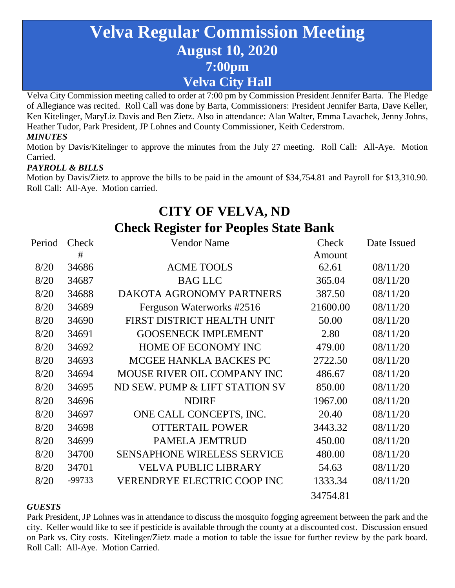# **Velva Regular Commission Meeting August 10, 2020 7:00pm Velva City Hall**

Velva City Commission meeting called to order at 7:00 pm by Commission President Jennifer Barta. The Pledge of Allegiance was recited. Roll Call was done by Barta, Commissioners: President Jennifer Barta, Dave Keller, Ken Kitelinger, MaryLiz Davis and Ben Zietz. Also in attendance: Alan Walter, Emma Lavachek, Jenny Johns, Heather Tudor, Park President, JP Lohnes and County Commissioner, Keith Cederstrom. *MINUTES*

Motion by Davis/Kitelinger to approve the minutes from the July 27 meeting. Roll Call: All-Aye. Motion Carried.

### *PAYROLL & BILLS*

Motion by Davis/Zietz to approve the bills to be paid in the amount of \$34,754.81 and Payroll for \$13,310.90. Roll Call: All-Aye. Motion carried.

## **CITY OF VELVA, ND Check Register for Peoples State Bank**

| Period | <b>Check</b> | <b>Vendor Name</b>                 | Check    | Date Issued |
|--------|--------------|------------------------------------|----------|-------------|
|        | #            |                                    | Amount   |             |
| 8/20   | 34686        | <b>ACME TOOLS</b>                  | 62.61    | 08/11/20    |
| 8/20   | 34687        | <b>BAG LLC</b>                     | 365.04   | 08/11/20    |
| 8/20   | 34688        | DAKOTA AGRONOMY PARTNERS           | 387.50   | 08/11/20    |
| 8/20   | 34689        | Ferguson Waterworks #2516          | 21600.00 | 08/11/20    |
| 8/20   | 34690        | FIRST DISTRICT HEALTH UNIT         | 50.00    | 08/11/20    |
| 8/20   | 34691        | <b>GOOSENECK IMPLEMENT</b>         | 2.80     | 08/11/20    |
| 8/20   | 34692        | HOME OF ECONOMY INC                | 479.00   | 08/11/20    |
| 8/20   | 34693        | MCGEE HANKLA BACKES PC             | 2722.50  | 08/11/20    |
| 8/20   | 34694        | MOUSE RIVER OIL COMPANY INC        | 486.67   | 08/11/20    |
| 8/20   | 34695        | ND SEW. PUMP & LIFT STATION SV     | 850.00   | 08/11/20    |
| 8/20   | 34696        | <b>NDIRF</b>                       | 1967.00  | 08/11/20    |
| 8/20   | 34697        | ONE CALL CONCEPTS, INC.            | 20.40    | 08/11/20    |
| 8/20   | 34698        | <b>OTTERTAIL POWER</b>             | 3443.32  | 08/11/20    |
| 8/20   | 34699        | <b>PAMELA JEMTRUD</b>              | 450.00   | 08/11/20    |
| 8/20   | 34700        | <b>SENSAPHONE WIRELESS SERVICE</b> | 480.00   | 08/11/20    |
| 8/20   | 34701        | <b>VELVA PUBLIC LIBRARY</b>        | 54.63    | 08/11/20    |
| 8/20   | -99733       | <b>VERENDRYE ELECTRIC COOP INC</b> | 1333.34  | 08/11/20    |
|        |              |                                    | 34754.81 |             |

#### *GUESTS*

Park President, JP Lohnes was in attendance to discuss the mosquito fogging agreement between the park and the city. Keller would like to see if pesticide is available through the county at a discounted cost. Discussion ensued on Park vs. City costs. Kitelinger/Zietz made a motion to table the issue for further review by the park board. Roll Call: All-Aye. Motion Carried.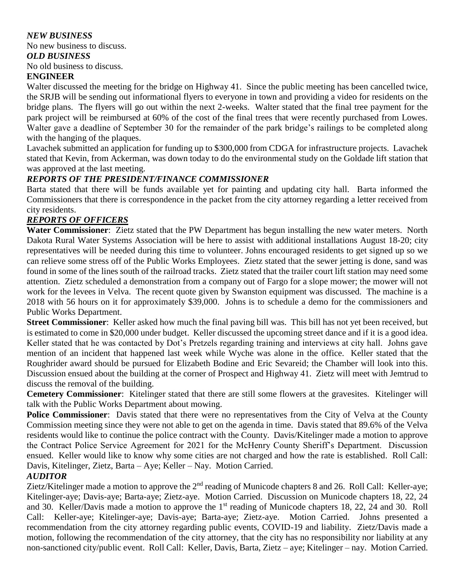#### *NEW BUSINESS*

No new business to discuss.

#### *OLD BUSINESS*

No old business to discuss.

#### **ENGINEER**

Walter discussed the meeting for the bridge on Highway 41. Since the public meeting has been cancelled twice, the SRJB will be sending out informational flyers to everyone in town and providing a video for residents on the bridge plans. The flyers will go out within the next 2-weeks. Walter stated that the final tree payment for the park project will be reimbursed at 60% of the cost of the final trees that were recently purchased from Lowes. Walter gave a deadline of September 30 for the remainder of the park bridge's railings to be completed along with the hanging of the plaques.

Lavachek submitted an application for funding up to \$300,000 from CDGA for infrastructure projects. Lavachek stated that Kevin, from Ackerman, was down today to do the environmental study on the Goldade lift station that was approved at the last meeting.

#### *REPORTS OF THE PRESIDENT/FINANCE COMMISSIONER*

Barta stated that there will be funds available yet for painting and updating city hall. Barta informed the Commissioners that there is correspondence in the packet from the city attorney regarding a letter received from city residents.

#### *REPORTS OF OFFICERS*

**Water Commissioner**: Zietz stated that the PW Department has begun installing the new water meters. North Dakota Rural Water Systems Association will be here to assist with additional installations August 18-20; city representatives will be needed during this time to volunteer. Johns encouraged residents to get signed up so we can relieve some stress off of the Public Works Employees. Zietz stated that the sewer jetting is done, sand was found in some of the lines south of the railroad tracks. Zietz stated that the trailer court lift station may need some attention. Zietz scheduled a demonstration from a company out of Fargo for a slope mower; the mower will not work for the levees in Velva. The recent quote given by Swanston equipment was discussed. The machine is a 2018 with 56 hours on it for approximately \$39,000. Johns is to schedule a demo for the commissioners and Public Works Department.

**Street Commissioner**: Keller asked how much the final paving bill was. This bill has not yet been received, but is estimated to come in \$20,000 under budget. Keller discussed the upcoming street dance and if it is a good idea. Keller stated that he was contacted by Dot's Pretzels regarding training and interviews at city hall. Johns gave mention of an incident that happened last week while Wyche was alone in the office. Keller stated that the Roughrider award should be pursued for Elizabeth Bodine and Eric Sevareid; the Chamber will look into this. Discussion ensued about the building at the corner of Prospect and Highway 41. Zietz will meet with Jemtrud to discuss the removal of the building.

**Cemetery Commissioner**: Kitelinger stated that there are still some flowers at the gravesites. Kitelinger will talk with the Public Works Department about mowing.

**Police Commissioner:** Davis stated that there were no representatives from the City of Velva at the County Commission meeting since they were not able to get on the agenda in time. Davis stated that 89.6% of the Velva residents would like to continue the police contract with the County. Davis/Kitelinger made a motion to approve the Contract Police Service Agreement for 2021 for the McHenry County Sheriff's Department. Discussion ensued. Keller would like to know why some cities are not charged and how the rate is established. Roll Call: Davis, Kitelinger, Zietz, Barta – Aye; Keller – Nay. Motion Carried.

#### *AUDITOR*

Zietz/Kitelinger made a motion to approve the 2<sup>nd</sup> reading of Municode chapters 8 and 26. Roll Call: Keller-aye; Kitelinger-aye; Davis-aye; Barta-aye; Zietz-aye. Motion Carried. Discussion on Municode chapters 18, 22, 24 and 30. Keller/Davis made a motion to approve the 1<sup>st</sup> reading of Municode chapters 18, 22, 24 and 30. Roll Call: Keller-aye; Kitelinger-aye; Davis-aye; Barta-aye; Zietz-aye. Motion Carried. Johns presented a recommendation from the city attorney regarding public events, COVID-19 and liability. Zietz/Davis made a motion, following the recommendation of the city attorney, that the city has no responsibility nor liability at any non-sanctioned city/public event. Roll Call: Keller, Davis, Barta, Zietz – aye; Kitelinger – nay. Motion Carried.